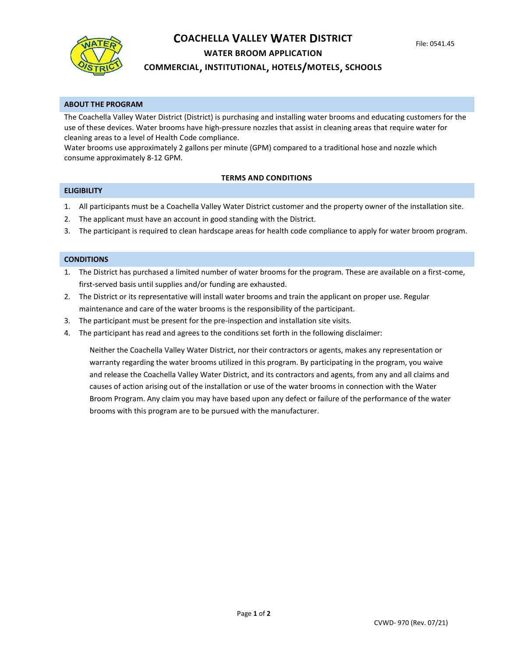



# **WATER BROOM APPLICATION**

### **COMMERCIAL, INSTITUTIONAL, HOTELS/MOTELS, SCHOOLS**

### **ABOUT THE PROGRAM**

The Coachella Valley Water District (District) is purchasing and installing water brooms and educating customers for the use of these devices. Water brooms have high-pressure nozzles that assist in cleaning areas that require water for cleaning areas to a level of Health Code compliance.

Water brooms use approximately 2 gallons per minute (GPM) compared to a traditional hose and nozzle which consume approximately 8-12 GPM.

#### **TERMS AND CONDITIONS**

#### **ELIGIBILITY**

- 1. All participants must be a Coachella Valley Water District customer and the property owner of the installation site.
- 2. The applicant must have an account in good standing with the District.
- 3. The participant is required to clean hardscape areas for health code compliance to apply for water broom program.

#### **CONDITIONS**

- 1. The District has purchased a limited number of water brooms for the program. These are available on a first-come, first-served basis until supplies and/or funding are exhausted.
- 2. The District or its representative will install water brooms and train the applicant on proper use. Regular maintenance and care of the water brooms is the responsibility of the participant.
- 3. The participant must be present for the pre-inspection and installation site visits.
- 4. The participant has read and agrees to the conditions set forth in the following disclaimer:

Neither the Coachella Valley Water District, nor their contractors or agents, makes any representation or warranty regarding the water brooms utilized in this program. By participating in the program, you waive and release the Coachella Valley Water District, and its contractors and agents, from any and all claims and causes of action arising out of the installation or use of the water brooms in connection with the Water Broom Program. Any claim you may have based upon any defect or failure of the performance of the water brooms with this program are to be pursued with the manufacturer.